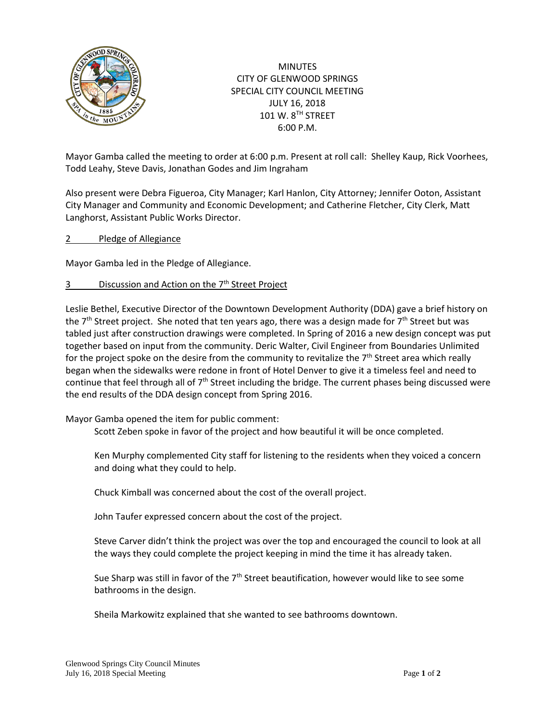

**MINUTES** CITY OF GLENWOOD SPRINGS SPECIAL CITY COUNCIL MEETING JULY 16, 2018 101 W. 8TH STREET 6:00 P.M.

Mayor Gamba called the meeting to order at 6:00 p.m. Present at roll call: Shelley Kaup, Rick Voorhees, Todd Leahy, Steve Davis, Jonathan Godes and Jim Ingraham

Also present were Debra Figueroa, City Manager; Karl Hanlon, City Attorney; Jennifer Ooton, Assistant City Manager and Community and Economic Development; and Catherine Fletcher, City Clerk, Matt Langhorst, Assistant Public Works Director.

2 Pledge of Allegiance

Mayor Gamba led in the Pledge of Allegiance.

3 Discussion and Action on the 7<sup>th</sup> Street Project

Leslie Bethel, Executive Director of the Downtown Development Authority (DDA) gave a brief history on the  $7<sup>th</sup>$  Street project. She noted that ten years ago, there was a design made for  $7<sup>th</sup>$  Street but was tabled just after construction drawings were completed. In Spring of 2016 a new design concept was put together based on input from the community. Deric Walter, Civil Engineer from Boundaries Unlimited for the project spoke on the desire from the community to revitalize the  $7<sup>th</sup>$  Street area which really began when the sidewalks were redone in front of Hotel Denver to give it a timeless feel and need to continue that feel through all of  $7<sup>th</sup>$  Street including the bridge. The current phases being discussed were the end results of the DDA design concept from Spring 2016.

## Mayor Gamba opened the item for public comment:

Scott Zeben spoke in favor of the project and how beautiful it will be once completed.

Ken Murphy complemented City staff for listening to the residents when they voiced a concern and doing what they could to help.

Chuck Kimball was concerned about the cost of the overall project.

John Taufer expressed concern about the cost of the project.

Steve Carver didn't think the project was over the top and encouraged the council to look at all the ways they could complete the project keeping in mind the time it has already taken.

Sue Sharp was still in favor of the 7<sup>th</sup> Street beautification, however would like to see some bathrooms in the design.

Sheila Markowitz explained that she wanted to see bathrooms downtown.